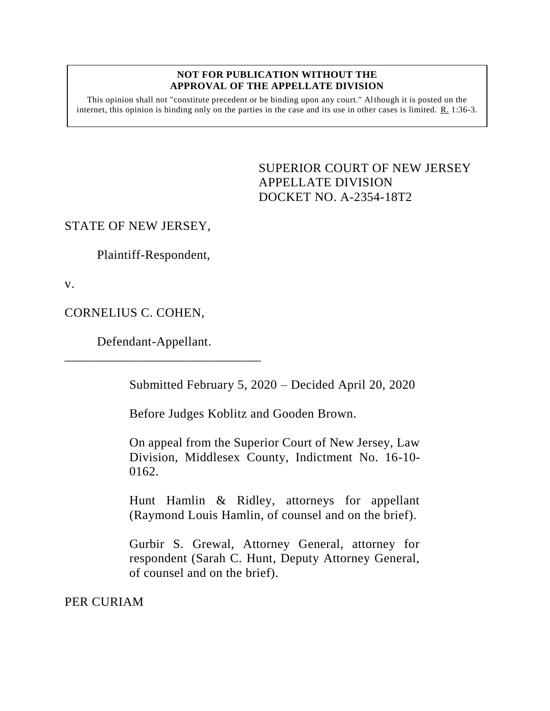#### **NOT FOR PUBLICATION WITHOUT THE APPROVAL OF THE APPELLATE DIVISION**

This opinion shall not "constitute precedent or be binding upon any court." Although it is posted on the internet, this opinion is binding only on the parties in the case and its use in other cases is limited. R. 1:36-3.

> <span id="page-0-0"></span>SUPERIOR COURT OF NEW JERSEY APPELLATE DIVISION DOCKET NO. A-2354-18T2

## STATE OF NEW JERSEY,

Plaintiff-Respondent,

v.

CORNELIUS C. COHEN,

Defendant-Appellant.

\_\_\_\_\_\_\_\_\_\_\_\_\_\_\_\_\_\_\_\_\_\_\_\_\_\_\_\_\_\_

Submitted February 5, 2020 – Decided April 20, 2020

Before Judges Koblitz and Gooden Brown.

On appeal from the Superior Court of New Jersey, Law Division, Middlesex County, Indictment No. 16-10- 0162.

Hunt Hamlin & Ridley, attorneys for appellant (Raymond Louis Hamlin, of counsel and on the brief).

Gurbir S. Grewal, Attorney General, attorney for respondent (Sarah C. Hunt, Deputy Attorney General, of counsel and on the brief).

PER CURIAM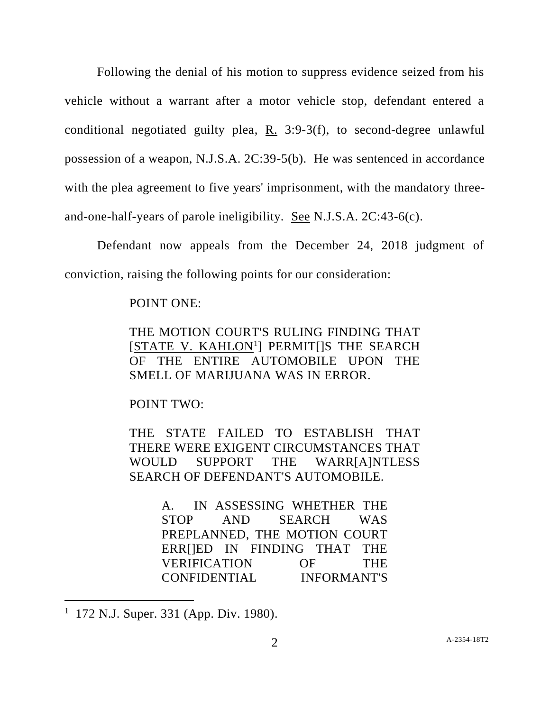Following the denial of his motion to suppress evidence seized from his vehicle without a warrant after a motor vehicle stop, defendant entered a conditional negotiated guilty plea, R. 3:9-3(f), to second-degree unlawful possession of a weapon, N.J.S.A. 2C:39-5(b). He was sentenced in accordance with the plea agreement to five years' imprisonment, with the mandatory threeand-one-half-years of parole ineligibility. See N.J.S.A. 2C:43-6(c).

Defendant now appeals from the December 24, 2018 judgment of conviction, raising the following points for our consideration:

### POINT ONE:

THE MOTION COURT'S RULING FINDING THAT [STATE V. KAHLON<sup>1</sup>] PERMIT[JS THE SEARCH OF THE ENTIRE AUTOMOBILE UPON THE SMELL OF MARIJUANA WAS IN ERROR.

POINT TWO:

THE STATE FAILED TO ESTABLISH THAT THERE WERE EXIGENT CIRCUMSTANCES THAT WOULD SUPPORT THE WARR[A]NTLESS SEARCH OF DEFENDANT'S AUTOMOBILE.

> A. IN ASSESSING WHETHER THE STOP AND SEARCH WAS PREPLANNED, THE MOTION COURT ERR[]ED IN FINDING THAT THE VERIFICATION OF THE CONFIDENTIAL INFORMANT'S

 $\overline{a}$ 

<sup>1</sup> 172 N.J. Super. 331 (App. Div. 1980).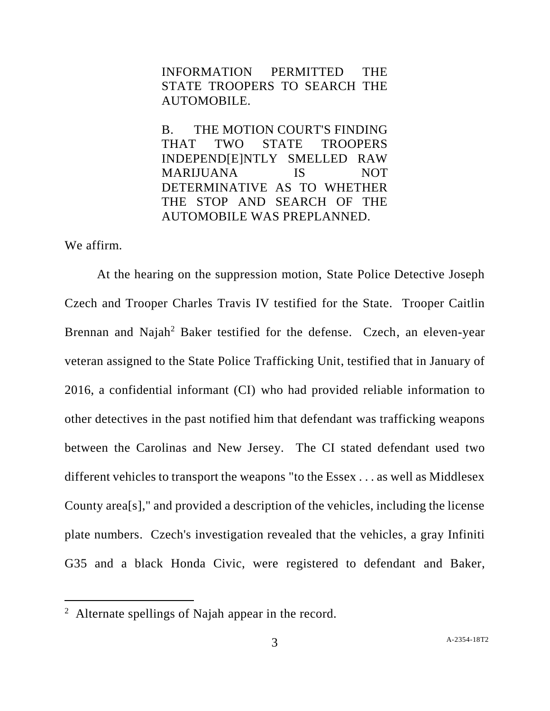INFORMATION PERMITTED THE STATE TROOPERS TO SEARCH THE AUTOMOBILE.

B. THE MOTION COURT'S FINDING THAT TWO STATE TROOPERS INDEPEND[E]NTLY SMELLED RAW MARIJUANA IS NOT DETERMINATIVE AS TO WHETHER THE STOP AND SEARCH OF THE AUTOMOBILE WAS PREPLANNED.

We affirm.

 $\overline{a}$ 

At the hearing on the suppression motion, State Police Detective Joseph Czech and Trooper Charles Travis IV testified for the State. Trooper Caitlin Brennan and Najah<sup>2</sup> Baker testified for the defense. Czech, an eleven-year veteran assigned to the State Police Trafficking Unit, testified that in January of 2016, a confidential informant (CI) who had provided reliable information to other detectives in the past notified him that defendant was trafficking weapons between the Carolinas and New Jersey. The CI stated defendant used two different vehicles to transport the weapons "to the Essex . . . as well as Middlesex County area[s]," and provided a description of the vehicles, including the license plate numbers. Czech's investigation revealed that the vehicles, a gray Infiniti G35 and a black Honda Civic, were registered to defendant and Baker,

<sup>&</sup>lt;sup>2</sup> Alternate spellings of Najah appear in the record.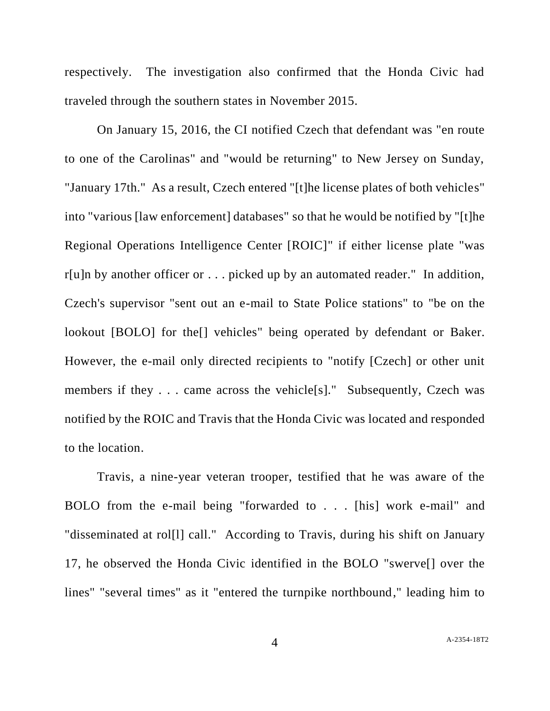respectively. The investigation also confirmed that the Honda Civic had traveled through the southern states in November 2015.

On January 15, 2016, the CI notified Czech that defendant was "en route to one of the Carolinas" and "would be returning" to New Jersey on Sunday, "January 17th." As a result, Czech entered "[t]he license plates of both vehicles" into "various [law enforcement] databases" so that he would be notified by "[t]he Regional Operations Intelligence Center [ROIC]" if either license plate "was r[u]n by another officer or . . . picked up by an automated reader." In addition, Czech's supervisor "sent out an e-mail to State Police stations" to "be on the lookout [BOLO] for the<sup>[]</sup> vehicles" being operated by defendant or Baker. However, the e-mail only directed recipients to "notify [Czech] or other unit members if they . . . came across the vehicle<sup>[s]</sup>." Subsequently, Czech was notified by the ROIC and Travis that the Honda Civic was located and responded to the location.

Travis, a nine-year veteran trooper, testified that he was aware of the BOLO from the e-mail being "forwarded to . . . [his] work e-mail" and "disseminated at rol[l] call." According to Travis, during his shift on January 17, he observed the Honda Civic identified in the BOLO "swerve[] over the lines" "several times" as it "entered the turnpike northbound," leading him to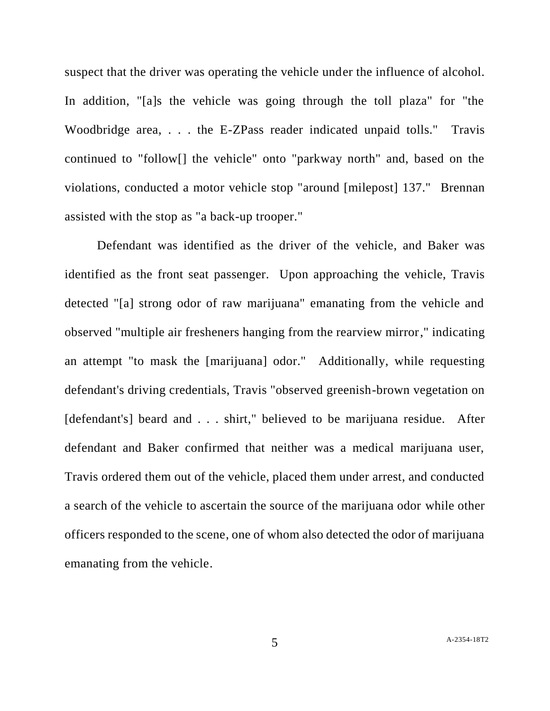suspect that the driver was operating the vehicle under the influence of alcohol. In addition, "[a]s the vehicle was going through the toll plaza" for "the Woodbridge area, . . . the E-ZPass reader indicated unpaid tolls." Travis continued to "follow[] the vehicle" onto "parkway north" and, based on the violations, conducted a motor vehicle stop "around [milepost] 137." Brennan assisted with the stop as "a back-up trooper."

Defendant was identified as the driver of the vehicle, and Baker was identified as the front seat passenger. Upon approaching the vehicle, Travis detected "[a] strong odor of raw marijuana" emanating from the vehicle and observed "multiple air fresheners hanging from the rearview mirror," indicating an attempt "to mask the [marijuana] odor." Additionally, while requesting defendant's driving credentials, Travis "observed greenish-brown vegetation on [defendant's] beard and . . . shirt," believed to be marijuana residue. After defendant and Baker confirmed that neither was a medical marijuana user, Travis ordered them out of the vehicle, placed them under arrest, and conducted a search of the vehicle to ascertain the source of the marijuana odor while other officers responded to the scene, one of whom also detected the odor of marijuana emanating from the vehicle.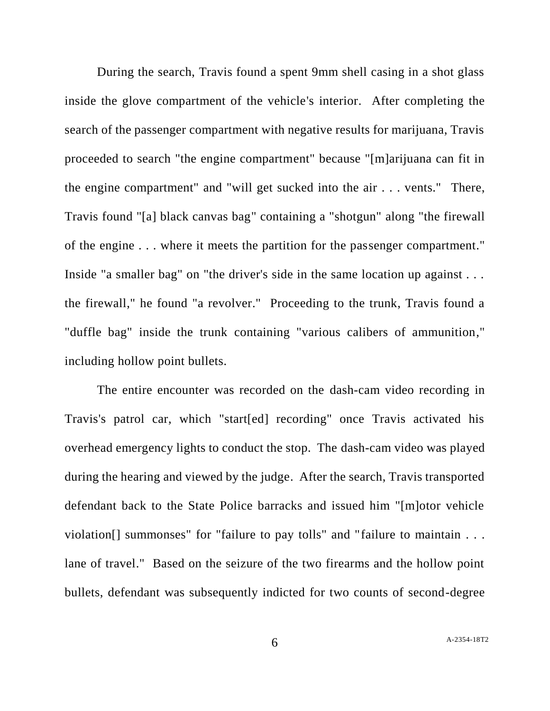During the search, Travis found a spent 9mm shell casing in a shot glass inside the glove compartment of the vehicle's interior. After completing the search of the passenger compartment with negative results for marijuana, Travis proceeded to search "the engine compartment" because "[m]arijuana can fit in the engine compartment" and "will get sucked into the air . . . vents." There, Travis found "[a] black canvas bag" containing a "shotgun" along "the firewall of the engine . . . where it meets the partition for the passenger compartment." Inside "a smaller bag" on "the driver's side in the same location up against . . . the firewall," he found "a revolver." Proceeding to the trunk, Travis found a "duffle bag" inside the trunk containing "various calibers of ammunition," including hollow point bullets.

The entire encounter was recorded on the dash-cam video recording in Travis's patrol car, which "start[ed] recording" once Travis activated his overhead emergency lights to conduct the stop. The dash-cam video was played during the hearing and viewed by the judge. After the search, Travis transported defendant back to the State Police barracks and issued him "[m]otor vehicle violation<sup>[]</sup> summonses" for "failure to pay tolls" and "failure to maintain . . . lane of travel." Based on the seizure of the two firearms and the hollow point bullets, defendant was subsequently indicted for two counts of second-degree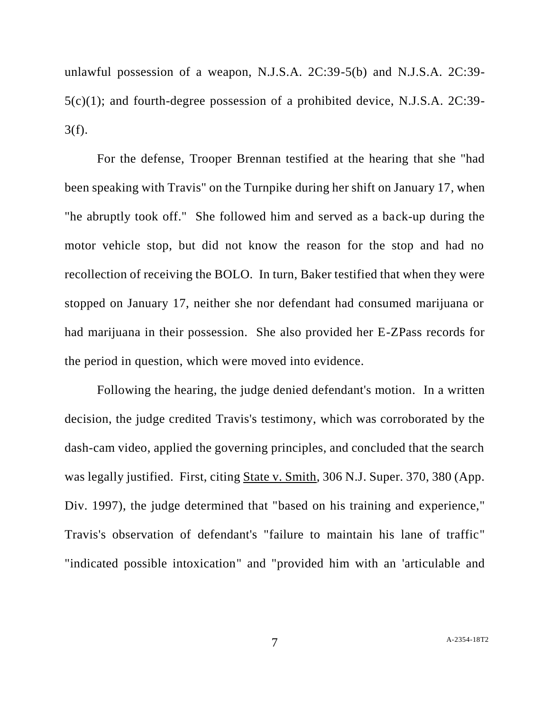unlawful possession of a weapon, N.J.S.A. 2C:39-5(b) and N.J.S.A. 2C:39- 5(c)(1); and fourth-degree possession of a prohibited device, N.J.S.A. 2C:39- 3(f).

For the defense, Trooper Brennan testified at the hearing that she "had been speaking with Travis" on the Turnpike during her shift on January 17, when "he abruptly took off." She followed him and served as a back-up during the motor vehicle stop, but did not know the reason for the stop and had no recollection of receiving the BOLO. In turn, Baker testified that when they were stopped on January 17, neither she nor defendant had consumed marijuana or had marijuana in their possession. She also provided her E-ZPass records for the period in question, which were moved into evidence.

Following the hearing, the judge denied defendant's motion. In a written decision, the judge credited Travis's testimony, which was corroborated by the dash-cam video, applied the governing principles, and concluded that the search was legally justified. First, citing State v. Smith, 306 N.J. Super. 370, 380 (App. Div. 1997), the judge determined that "based on his training and experience," Travis's observation of defendant's "failure to maintain his lane of traffic" "indicated possible intoxication" and "provided him with an 'articulable and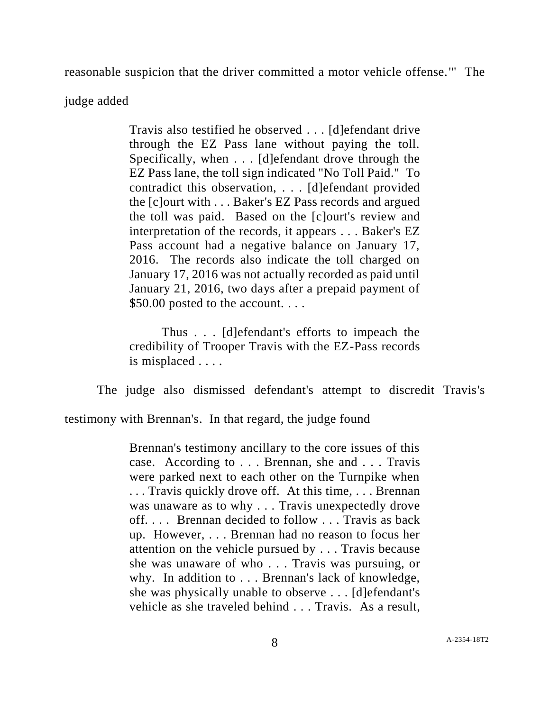reasonable suspicion that the driver committed a motor vehicle offense.'" The

# judge added

Travis also testified he observed . . . [d]efendant drive through the EZ Pass lane without paying the toll. Specifically, when . . . [d]efendant drove through the EZ Pass lane, the toll sign indicated "No Toll Paid." To contradict this observation, . . . [d]efendant provided the [c]ourt with . . . Baker's EZ Pass records and argued the toll was paid. Based on the [c]ourt's review and interpretation of the records, it appears . . . Baker's EZ Pass account had a negative balance on January 17, 2016. The records also indicate the toll charged on January 17, 2016 was not actually recorded as paid until January 21, 2016, two days after a prepaid payment of \$50.00 posted to the account....

Thus . . . [d]efendant's efforts to impeach the credibility of Trooper Travis with the EZ-Pass records is misplaced . . . .

The judge also dismissed defendant's attempt to discredit Travis's

testimony with Brennan's. In that regard, the judge found

Brennan's testimony ancillary to the core issues of this case. According to . . . Brennan, she and . . . Travis were parked next to each other on the Turnpike when . . . Travis quickly drove off. At this time, . . . Brennan was unaware as to why . . . Travis unexpectedly drove off. . . . Brennan decided to follow . . . Travis as back up. However, . . . Brennan had no reason to focus her attention on the vehicle pursued by . . . Travis because she was unaware of who . . . Travis was pursuing, or why. In addition to . . . Brennan's lack of knowledge, she was physically unable to observe . . . [d]efendant's vehicle as she traveled behind . . . Travis. As a result,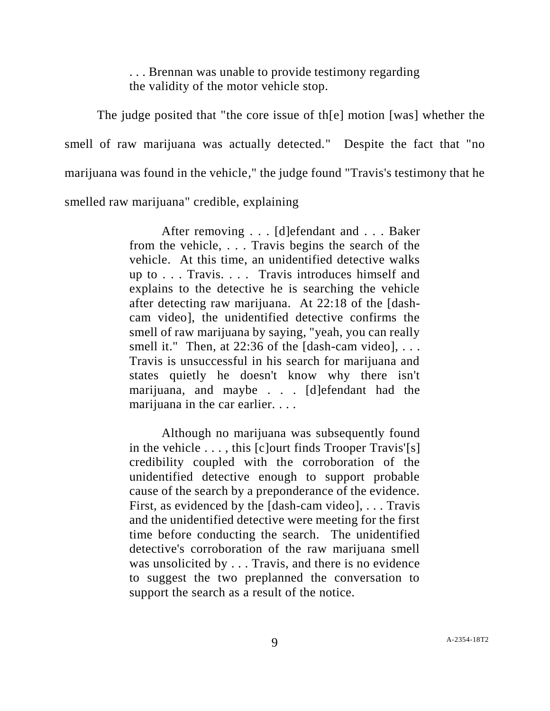. . . Brennan was unable to provide testimony regarding the validity of the motor vehicle stop.

The judge posited that "the core issue of th[e] motion [was] whether the smell of raw marijuana was actually detected." Despite the fact that "no marijuana was found in the vehicle," the judge found "Travis's testimony that he smelled raw marijuana" credible, explaining

> After removing . . . [d]efendant and . . . Baker from the vehicle, . . . Travis begins the search of the vehicle. At this time, an unidentified detective walks up to . . . Travis. . . . Travis introduces himself and explains to the detective he is searching the vehicle after detecting raw marijuana. At 22:18 of the [dashcam video], the unidentified detective confirms the smell of raw marijuana by saying, "yeah, you can really smell it." Then, at  $22:36$  of the [dash-cam video], ... Travis is unsuccessful in his search for marijuana and states quietly he doesn't know why there isn't marijuana, and maybe . . . [d]efendant had the marijuana in the car earlier. . . .

> Although no marijuana was subsequently found in the vehicle  $\dots$ , this [c] ourt finds Trooper Travis'[s] credibility coupled with the corroboration of the unidentified detective enough to support probable cause of the search by a preponderance of the evidence. First, as evidenced by the [dash-cam video], . . . Travis and the unidentified detective were meeting for the first time before conducting the search. The unidentified detective's corroboration of the raw marijuana smell was unsolicited by . . . Travis, and there is no evidence to suggest the two preplanned the conversation to support the search as a result of the notice.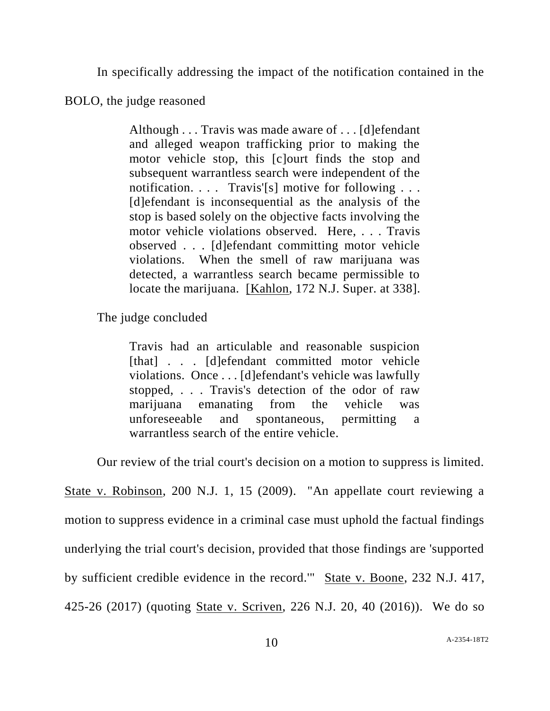In specifically addressing the impact of the notification contained in the

BOLO, the judge reasoned

Although . . . Travis was made aware of . . . [d]efendant and alleged weapon trafficking prior to making the motor vehicle stop, this [c]ourt finds the stop and subsequent warrantless search were independent of the notification. . . . Travis'[s] motive for following . . . [d]efendant is inconsequential as the analysis of the stop is based solely on the objective facts involving the motor vehicle violations observed. Here, . . . Travis observed . . . [d]efendant committing motor vehicle violations. When the smell of raw marijuana was detected, a warrantless search became permissible to locate the marijuana. [Kahlon, 172 N.J. Super. at 338].

The judge concluded

Travis had an articulable and reasonable suspicion [that] . . . [d]efendant committed motor vehicle violations. Once . . . [d]efendant's vehicle was lawfully stopped, . . . Travis's detection of the odor of raw marijuana emanating from the vehicle was unforeseeable and spontaneous, permitting a warrantless search of the entire vehicle.

Our review of the trial court's decision on a motion to suppress is limited.

State v. Robinson, 200 N.J. 1, 15 (2009). "An appellate court reviewing a motion to suppress evidence in a criminal case must uphold the factual findings underlying the trial court's decision, provided that those findings are 'supported by sufficient credible evidence in the record.'" State v. Boone, 232 N.J. 417, 425-26 (2017) (quoting State v. Scriven, 226 N.J. 20, 40 (2016)). We do so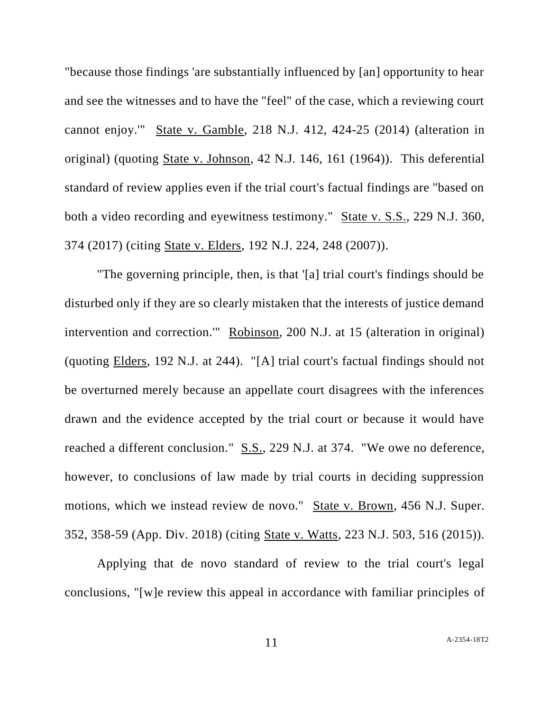"because those findings 'are substantially influenced by [an] opportunity to hear and see the witnesses and to have the "feel" of the case, which a reviewing court cannot enjoy.'" State v. Gamble, 218 N.J. 412, 424-25 (2014) (alteration in original) (quoting State v. Johnson, 42 N.J. 146, 161 (1964)). This deferential standard of review applies even if the trial court's factual findings are "based on both a video recording and eyewitness testimony." State v. S.S., 229 N.J. 360, 374 (2017) (citing State v. Elders, 192 N.J. 224, 248 (2007)).

"The governing principle, then, is that '[a] trial court's findings should be disturbed only if they are so clearly mistaken that the interests of justice demand intervention and correction.'" Robinson, 200 N.J. at 15 (alteration in original) (quoting Elders, 192 N.J. at 244). "[A] trial court's factual findings should not be overturned merely because an appellate court disagrees with the inferences drawn and the evidence accepted by the trial court or because it would have reached a different conclusion." S.S., 229 N.J. at 374. "We owe no deference, however, to conclusions of law made by trial courts in deciding suppression motions, which we instead review de novo." State v. Brown, 456 N.J. Super. 352, 358-59 (App. Div. 2018) (citing State v. Watts, 223 N.J. 503, 516 (2015)).

Applying that de novo standard of review to the trial court's legal conclusions, "[w]e review this appeal in accordance with familiar principles of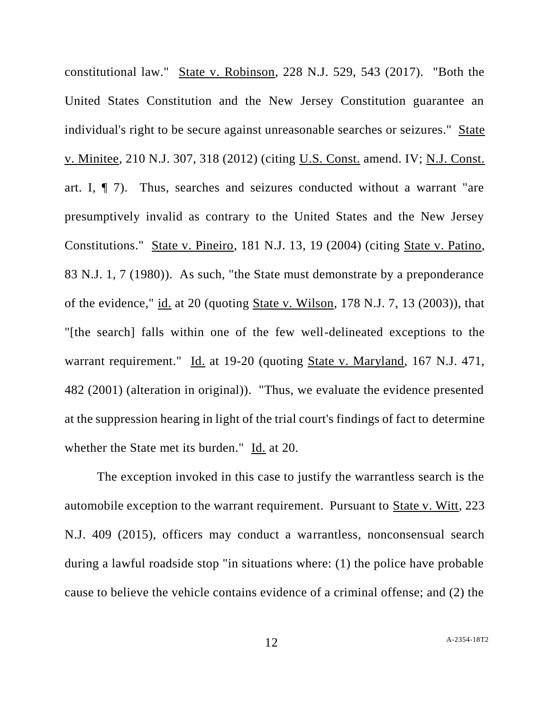constitutional law." State v. Robinson, 228 N.J. 529, 543 (2017). "Both the United States Constitution and the New Jersey Constitution guarantee an individual's right to be secure against unreasonable searches or seizures." State v. Minitee, 210 N.J. 307, 318 (2012) (citing U.S. Const. amend. IV; N.J. Const. art. I, ¶ 7). Thus, searches and seizures conducted without a warrant "are presumptively invalid as contrary to the United States and the New Jersey Constitutions." State v. Pineiro, 181 N.J. 13, 19 (2004) (citing State v. Patino, 83 N.J. 1, 7 (1980)). As such, "the State must demonstrate by a preponderance of the evidence," id. at 20 (quoting State v. Wilson, 178 N.J. 7, 13 (2003)), that "[the search] falls within one of the few well-delineated exceptions to the warrant requirement." Id. at 19-20 (quoting State v. Maryland, 167 N.J. 471, 482 (2001) (alteration in original)). "Thus, we evaluate the evidence presented at the suppression hearing in light of the trial court's findings of fact to determine whether the State met its burden." Id. at 20.

The exception invoked in this case to justify the warrantless search is the automobile exception to the warrant requirement. Pursuant to State v. Witt, 223 N.J. 409 (2015), officers may conduct a warrantless, nonconsensual search during a lawful roadside stop "in situations where: (1) the police have probable cause to believe the vehicle contains evidence of a criminal offense; and (2) the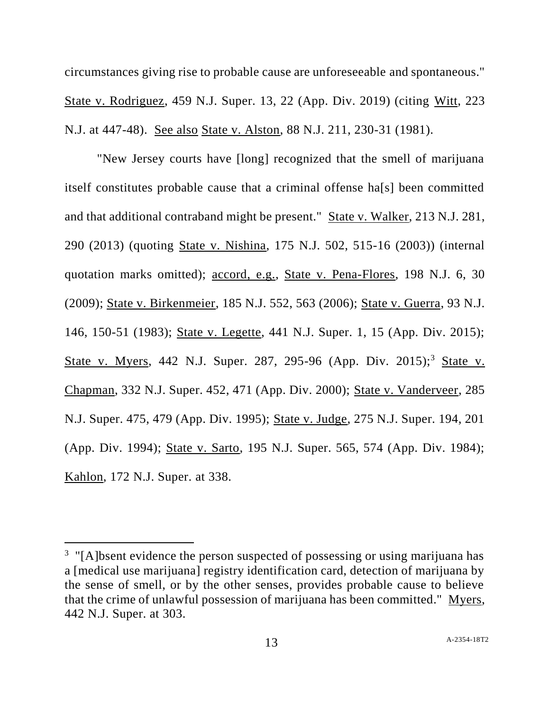circumstances giving rise to probable cause are unforeseeable and spontaneous." State v. Rodriguez, 459 N.J. Super. 13, 22 (App. Div. 2019) (citing Witt, 223 N.J. at 447-48). See also State v. Alston, 88 N.J. 211, 230-31 (1981).

"New Jersey courts have [long] recognized that the smell of marijuana itself constitutes probable cause that a criminal offense ha[s] been committed and that additional contraband might be present." State v. Walker, 213 N.J. 281, 290 (2013) (quoting State v. Nishina, 175 N.J. 502, 515-16 (2003)) (internal quotation marks omitted); accord, e.g., State v. Pena-Flores, 198 N.J. 6, 30 (2009); State v. Birkenmeier, 185 N.J. 552, 563 (2006); State v. Guerra, 93 N.J. 146, 150-51 (1983); State v. Legette, 441 N.J. Super. 1, 15 (App. Div. 2015); State v. Myers, 442 N.J. Super. 287, 295-96 (App. Div. 2015);<sup>3</sup> State v. Chapman, 332 N.J. Super. 452, 471 (App. Div. 2000); State v. Vanderveer, 285 N.J. Super. 475, 479 (App. Div. 1995); State v. Judge, 275 N.J. Super. 194, 201 (App. Div. 1994); State v. Sarto, 195 N.J. Super. 565, 574 (App. Div. 1984); Kahlon, 172 N.J. Super. at 338.

l

<sup>&</sup>lt;sup>3</sup> "[A]bsent evidence the person suspected of possessing or using marijuana has a [medical use marijuana] registry identification card, detection of marijuana by the sense of smell, or by the other senses, provides probable cause to believe that the crime of unlawful possession of marijuana has been committed." Myers, 442 N.J. Super. at 303.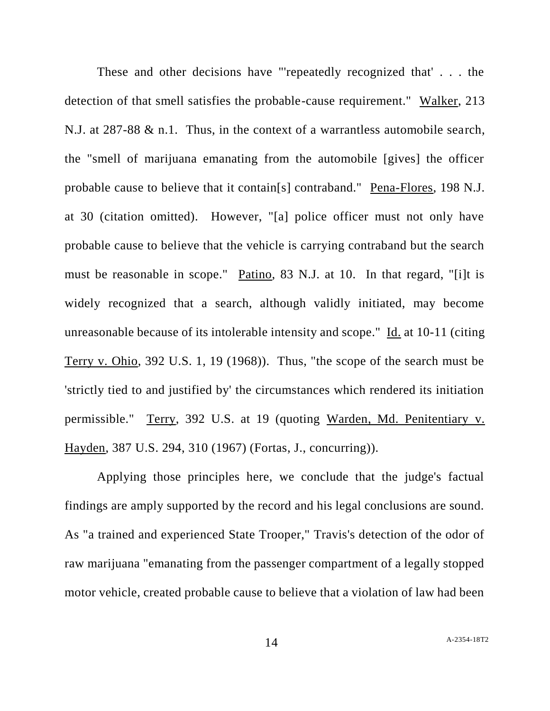These and other decisions have "'repeatedly recognized that' . . . the detection of that smell satisfies the probable-cause requirement." Walker, 213 N.J. at 287-88 & n.1. Thus, in the context of a warrantless automobile search, the "smell of marijuana emanating from the automobile [gives] the officer probable cause to believe that it contain[s] contraband." Pena-Flores, 198 N.J. at 30 (citation omitted). However, "[a] police officer must not only have probable cause to believe that the vehicle is carrying contraband but the search must be reasonable in scope." Patino, 83 N.J. at 10. In that regard, "[i]t is widely recognized that a search, although validly initiated, may become unreasonable because of its intolerable intensity and scope." Id. at 10-11 (citing Terry v. Ohio, 392 U.S. 1, 19 (1968)). Thus, "the scope of the search must be 'strictly tied to and justified by' the circumstances which rendered its initiation permissible." Terry, 392 U.S. at 19 (quoting Warden, Md. Penitentiary v. Hayden, 387 U.S. 294, 310 (1967) (Fortas, J., concurring)).

Applying those principles here, we conclude that the judge's factual findings are amply supported by the record and his legal conclusions are sound. As "a trained and experienced State Trooper," Travis's detection of the odor of raw marijuana "emanating from the passenger compartment of a legally stopped motor vehicle, created probable cause to believe that a violation of law had been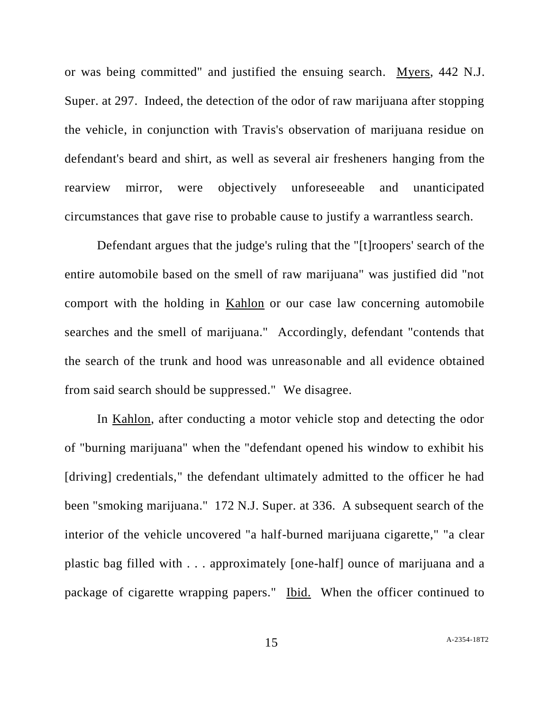or was being committed" and justified the ensuing search. Myers, 442 N.J. Super. at 297. Indeed, the detection of the odor of raw marijuana after stopping the vehicle, in conjunction with Travis's observation of marijuana residue on defendant's beard and shirt, as well as several air fresheners hanging from the rearview mirror, were objectively unforeseeable and unanticipated circumstances that gave rise to probable cause to justify a warrantless search.

Defendant argues that the judge's ruling that the "[t]roopers' search of the entire automobile based on the smell of raw marijuana" was justified did "not comport with the holding in Kahlon or our case law concerning automobile searches and the smell of marijuana." Accordingly, defendant "contends that the search of the trunk and hood was unreasonable and all evidence obtained from said search should be suppressed." We disagree.

In Kahlon, after conducting a motor vehicle stop and detecting the odor of "burning marijuana" when the "defendant opened his window to exhibit his [driving] credentials," the defendant ultimately admitted to the officer he had been "smoking marijuana." 172 N.J. Super. at 336. A subsequent search of the interior of the vehicle uncovered "a half-burned marijuana cigarette," "a clear plastic bag filled with . . . approximately [one-half] ounce of marijuana and a package of cigarette wrapping papers." Ibid. When the officer continued to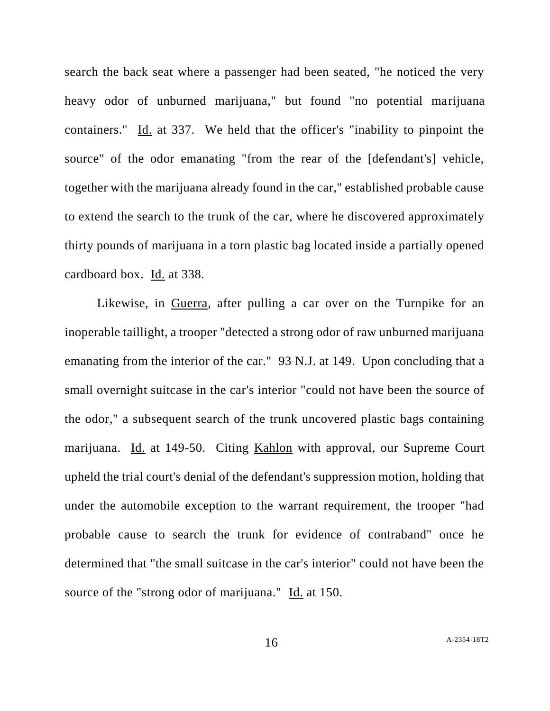search the back seat where a passenger had been seated, "he noticed the very heavy odor of unburned marijuana," but found "no potential marijuana containers." Id. at 337. We held that the officer's "inability to pinpoint the source" of the odor emanating "from the rear of the [defendant's] vehicle, together with the marijuana already found in the car," established probable cause to extend the search to the trunk of the car, where he discovered approximately thirty pounds of marijuana in a torn plastic bag located inside a partially opened cardboard box. Id. at 338.

Likewise, in Guerra, after pulling a car over on the Turnpike for an inoperable taillight, a trooper "detected a strong odor of raw unburned marijuana emanating from the interior of the car." 93 N.J. at 149. Upon concluding that a small overnight suitcase in the car's interior "could not have been the source of the odor," a subsequent search of the trunk uncovered plastic bags containing marijuana. Id. at 149-50. Citing Kahlon with approval, our Supreme Court upheld the trial court's denial of the defendant's suppression motion, holding that under the automobile exception to the warrant requirement, the trooper "had probable cause to search the trunk for evidence of contraband" once he determined that "the small suitcase in the car's interior" could not have been the source of the "strong odor of marijuana." Id. at 150.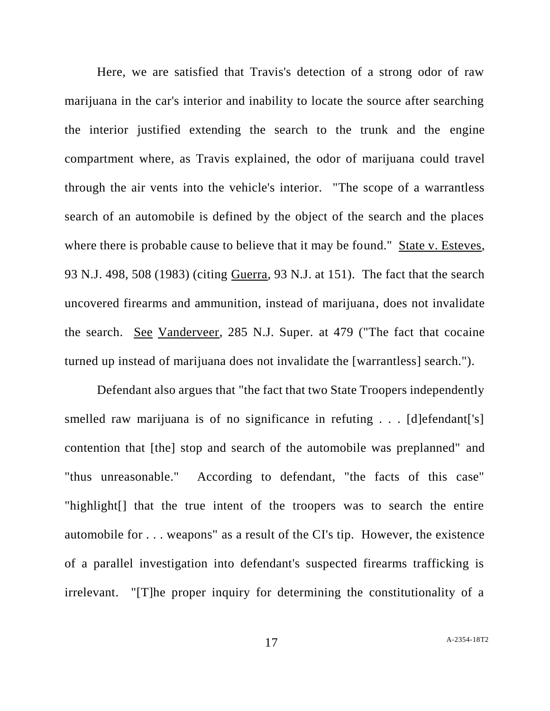Here, we are satisfied that Travis's detection of a strong odor of raw marijuana in the car's interior and inability to locate the source after searching the interior justified extending the search to the trunk and the engine compartment where, as Travis explained, the odor of marijuana could travel through the air vents into the vehicle's interior. "The scope of a warrantless search of an automobile is defined by the object of the search and the places where there is probable cause to believe that it may be found." State v. Esteves, 93 N.J. 498, 508 (1983) (citing Guerra, 93 N.J. at 151). The fact that the search uncovered firearms and ammunition, instead of marijuana, does not invalidate the search. See Vanderveer, 285 N.J. Super. at 479 ("The fact that cocaine turned up instead of marijuana does not invalidate the [warrantless] search.").

Defendant also argues that "the fact that two State Troopers independently smelled raw marijuana is of no significance in refuting . . . [d]efendant['s] contention that [the] stop and search of the automobile was preplanned" and "thus unreasonable." According to defendant, "the facts of this case" "highlight[] that the true intent of the troopers was to search the entire automobile for . . . weapons" as a result of the CI's tip. However, the existence of a parallel investigation into defendant's suspected firearms trafficking is irrelevant. "[T]he proper inquiry for determining the constitutionality of a